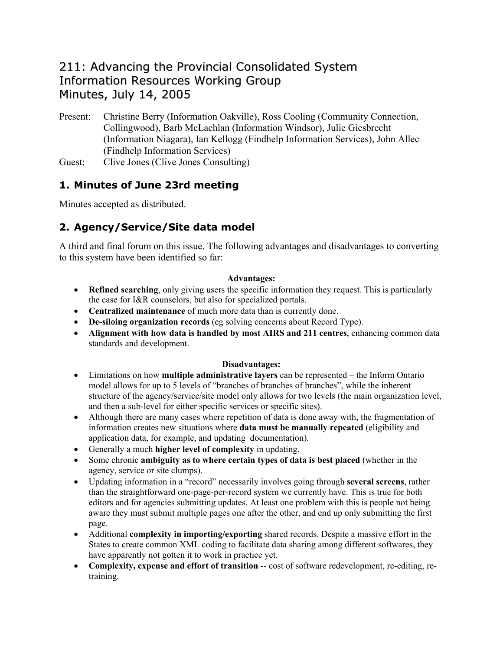# 211: Advancing the Provincial Consolidated System Information Resources Working Group Minutes, July 14, 2005

- Present: Christine Berry (Information Oakville), Ross Cooling (Community Connection, Collingwood), Barb McLachlan (Information Windsor), Julie Giesbrecht (Information Niagara), Ian Kellogg (Findhelp Information Services), John Allec (Findhelp Information Services)
- Guest: Clive Jones (Clive Jones Consulting)

#### **1. Minutes of June 23rd meeting**

Minutes accepted as distributed.

### **2. Agency/Service/Site data model**

A third and final forum on this issue. The following advantages and disadvantages to converting to this system have been identified so far:

#### **Advantages:**

- **Refined searching**, only giving users the specific information they request. This is particularly the case for I&R counselors, but also for specialized portals.
- **Centralized maintenance** of much more data than is currently done.
- **De-siloing organization records** (eg solving concerns about Record Type).
- **Alignment with how data is handled by most AIRS and 211 centres**, enhancing common data standards and development.

#### **Disadvantages:**

- Limitations on how **multiple administrative layers** can be represented the Inform Ontario model allows for up to 5 levels of "branches of branches of branches", while the inherent structure of the agency/service/site model only allows for two levels (the main organization level, and then a sub-level for either specific services or specific sites).
- Although there are many cases where repetition of data is done away with, the fragmentation of information creates new situations where **data must be manually repeated** (eligibility and application data, for example, and updating documentation).
- Generally a much **higher level of complexity** in updating.
- Some chronic **ambiguity as to where certain types of data is best placed** (whether in the agency, service or site clumps).
- Updating information in a "record" necessarily involves going through **several screens**, rather than the straightforward one-page-per-record system we currently have. This is true for both editors and for agencies submitting updates. At least one problem with this is people not being aware they must submit multiple pages one after the other, and end up only submitting the first page.
- Additional **complexity in importing/exporting** shared records. Despite a massive effort in the States to create common XML coding to facilitate data sharing among different softwares, they have apparently not gotten it to work in practice yet.
- **Complexity, expense and effort of transition** -- cost of software redevelopment, re-editing, retraining.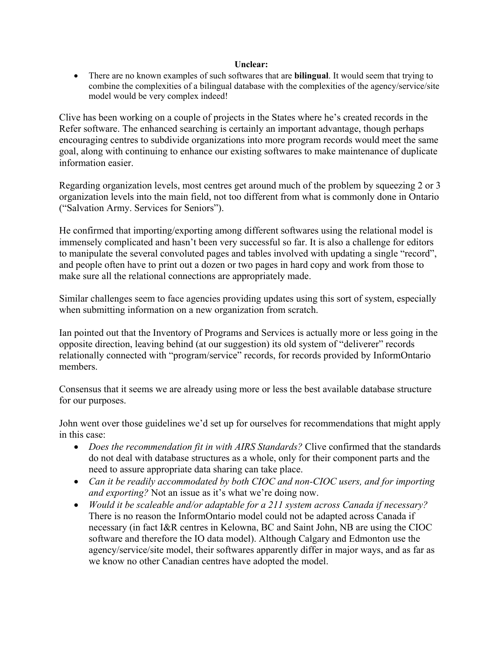#### **Unclear:**

• There are no known examples of such softwares that are **bilingual**. It would seem that trying to combine the complexities of a bilingual database with the complexities of the agency/service/site model would be very complex indeed!

Clive has been working on a couple of projects in the States where he's created records in the Refer software. The enhanced searching is certainly an important advantage, though perhaps encouraging centres to subdivide organizations into more program records would meet the same goal, along with continuing to enhance our existing softwares to make maintenance of duplicate information easier.

Regarding organization levels, most centres get around much of the problem by squeezing 2 or 3 organization levels into the main field, not too different from what is commonly done in Ontario ("Salvation Army. Services for Seniors").

He confirmed that importing/exporting among different softwares using the relational model is immensely complicated and hasn't been very successful so far. It is also a challenge for editors to manipulate the several convoluted pages and tables involved with updating a single "record", and people often have to print out a dozen or two pages in hard copy and work from those to make sure all the relational connections are appropriately made.

Similar challenges seem to face agencies providing updates using this sort of system, especially when submitting information on a new organization from scratch.

Ian pointed out that the Inventory of Programs and Services is actually more or less going in the opposite direction, leaving behind (at our suggestion) its old system of "deliverer" records relationally connected with "program/service" records, for records provided by InformOntario members.

Consensus that it seems we are already using more or less the best available database structure for our purposes.

John went over those guidelines we'd set up for ourselves for recommendations that might apply in this case:

- *Does the recommendation fit in with AIRS Standards?* Clive confirmed that the standards do not deal with database structures as a whole, only for their component parts and the need to assure appropriate data sharing can take place.
- *Can it be readily accommodated by both CIOC and non-CIOC users, and for importing and exporting?* Not an issue as it's what we're doing now.
- *Would it be scaleable and/or adaptable for a 211 system across Canada if necessary?* There is no reason the InformOntario model could not be adapted across Canada if necessary (in fact I&R centres in Kelowna, BC and Saint John, NB are using the CIOC software and therefore the IO data model). Although Calgary and Edmonton use the agency/service/site model, their softwares apparently differ in major ways, and as far as we know no other Canadian centres have adopted the model.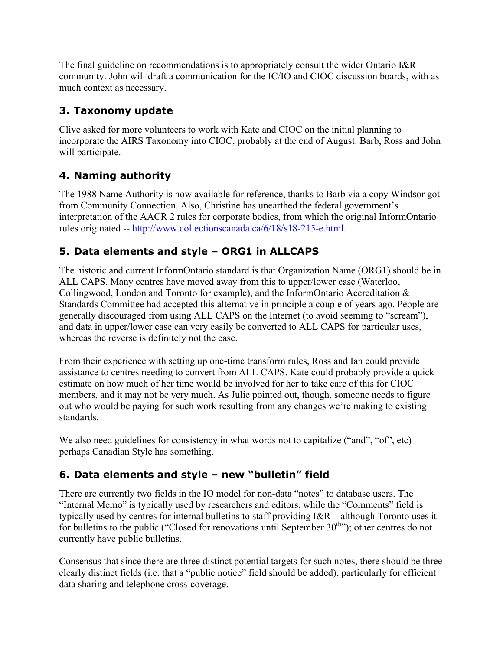The final guideline on recommendations is to appropriately consult the wider Ontario I&R community. John will draft a communication for the IC/IO and CIOC discussion boards, with as much context as necessary.

#### **3. Taxonomy update**

Clive asked for more volunteers to work with Kate and CIOC on the initial planning to incorporate the AIRS Taxonomy into CIOC, probably at the end of August. Barb, Ross and John will participate.

## **4. Naming authority**

The 1988 Name Authority is now available for reference, thanks to Barb via a copy Windsor got from Community Connection. Also, Christine has unearthed the federal government's interpretation of the AACR 2 rules for corporate bodies, from which the original InformOntario rules originated -- [http://www.collectionscanada.ca/6/18/s18-215-e.html.](http://www.collectionscanada.ca/6/18/s18-215-e.html)

## **5. Data elements and style – ORG1 in ALLCAPS**

The historic and current InformOntario standard is that Organization Name (ORG1) should be in ALL CAPS. Many centres have moved away from this to upper/lower case (Waterloo, Collingwood, London and Toronto for example), and the InformOntario Accreditation & Standards Committee had accepted this alternative in principle a couple of years ago. People are generally discouraged from using ALL CAPS on the Internet (to avoid seeming to "scream"), and data in upper/lower case can very easily be converted to ALL CAPS for particular uses, whereas the reverse is definitely not the case.

From their experience with setting up one-time transform rules, Ross and Ian could provide assistance to centres needing to convert from ALL CAPS. Kate could probably provide a quick estimate on how much of her time would be involved for her to take care of this for CIOC members, and it may not be very much. As Julie pointed out, though, someone needs to figure out who would be paying for such work resulting from any changes we're making to existing standards.

We also need guidelines for consistency in what words not to capitalize ("and", "of", etc) – perhaps Canadian Style has something.

### **6. Data elements and style – new "bulletin" field**

There are currently two fields in the IO model for non-data "notes" to database users. The "Internal Memo" is typically used by researchers and editors, while the "Comments" field is typically used by centres for internal bulletins to staff providing I&R – although Toronto uses it for bulletins to the public ("Closed for renovations until September 30<sup>th</sup>"); other centres do not currently have public bulletins.

Consensus that since there are three distinct potential targets for such notes, there should be three clearly distinct fields (i.e. that a "public notice" field should be added), particularly for efficient data sharing and telephone cross-coverage.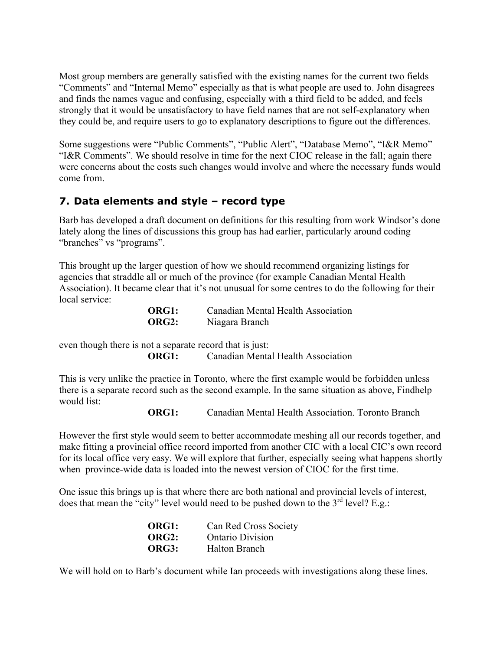Most group members are generally satisfied with the existing names for the current two fields "Comments" and "Internal Memo" especially as that is what people are used to. John disagrees and finds the names vague and confusing, especially with a third field to be added, and feels strongly that it would be unsatisfactory to have field names that are not self-explanatory when they could be, and require users to go to explanatory descriptions to figure out the differences.

Some suggestions were "Public Comments", "Public Alert", "Database Memo", "I&R Memo" "I&R Comments". We should resolve in time for the next CIOC release in the fall; again there were concerns about the costs such changes would involve and where the necessary funds would come from.

#### **7. Data elements and style – record type**

Barb has developed a draft document on definitions for this resulting from work Windsor's done lately along the lines of discussions this group has had earlier, particularly around coding "branches" vs "programs".

This brought up the larger question of how we should recommend organizing listings for agencies that straddle all or much of the province (for example Canadian Mental Health Association). It became clear that it's not unusual for some centres to do the following for their local service:

| <b>ORG1:</b> | Canadian Mental Health Association |
|--------------|------------------------------------|
| <b>ORG2:</b> | Niagara Branch                     |

even though there is not a separate record that is just:

**ORG1:** Canadian Mental Health Association

This is very unlike the practice in Toronto, where the first example would be forbidden unless there is a separate record such as the second example. In the same situation as above, Findhelp would list:

**ORG1:** Canadian Mental Health Association. Toronto Branch

However the first style would seem to better accommodate meshing all our records together, and make fitting a provincial office record imported from another CIC with a local CIC's own record for its local office very easy. We will explore that further, especially seeing what happens shortly when province-wide data is loaded into the newest version of CIOC for the first time.

One issue this brings up is that where there are both national and provincial levels of interest, does that mean the "city" level would need to be pushed down to the  $3<sup>rd</sup>$  level? E.g.:

| ORG1: | Can Red Cross Society   |
|-------|-------------------------|
| ORG2: | <b>Ontario Division</b> |
| ORG3: | Halton Branch           |

We will hold on to Barb's document while Ian proceeds with investigations along these lines.